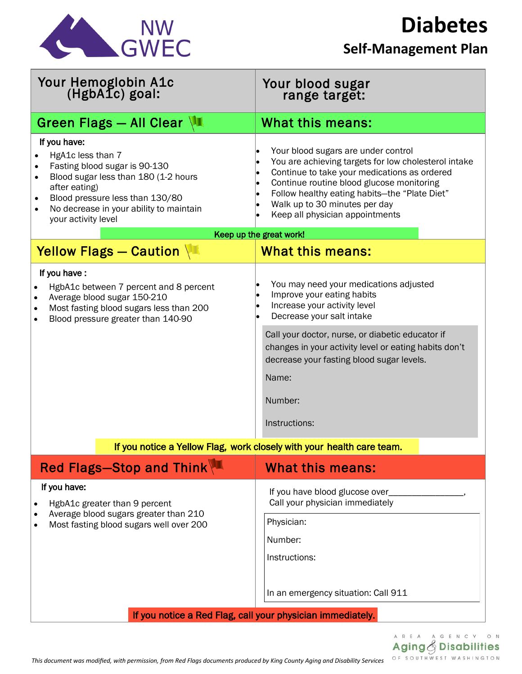

## **Diabetes**

## **Self-Management Plan**

| Your Hemoglobin A1c<br>(HgbA1c) goal:                                                                                                                                                                                            | Your blood sugar<br>range target:                                                                                                                                                                                                                                                                                          |
|----------------------------------------------------------------------------------------------------------------------------------------------------------------------------------------------------------------------------------|----------------------------------------------------------------------------------------------------------------------------------------------------------------------------------------------------------------------------------------------------------------------------------------------------------------------------|
| <b>Green Flags - All Clear VI</b>                                                                                                                                                                                                | <b>What this means:</b>                                                                                                                                                                                                                                                                                                    |
| If you have:<br>HgA1c less than 7<br>Fasting blood sugar is 90-130<br>Blood sugar less than 180 (1-2 hours<br>after eating)<br>Blood pressure less than 130/80<br>No decrease in your ability to maintain<br>your activity level | Your blood sugars are under control<br>You are achieving targets for low cholesterol intake<br>Continue to take your medications as ordered<br>Continue routine blood glucose monitoring<br>Follow healthy eating habits-the "Plate Diet"<br>$\bullet$<br>Walk up to 30 minutes per day<br>Keep all physician appointments |
| Keep up the great work!                                                                                                                                                                                                          |                                                                                                                                                                                                                                                                                                                            |
| Yellow Flags - Caution                                                                                                                                                                                                           | What this means:                                                                                                                                                                                                                                                                                                           |
| If you have:<br>HgbA1c between 7 percent and 8 percent<br>Average blood sugar 150-210<br>Most fasting blood sugars less than 200<br>Blood pressure greater than 140-90                                                           | You may need your medications adjusted<br>Improve your eating habits<br>Increase your activity level<br>Decrease your salt intake                                                                                                                                                                                          |
|                                                                                                                                                                                                                                  | Call your doctor, nurse, or diabetic educator if<br>changes in your activity level or eating habits don't<br>decrease your fasting blood sugar levels.<br>Name:                                                                                                                                                            |
|                                                                                                                                                                                                                                  | Number:                                                                                                                                                                                                                                                                                                                    |
|                                                                                                                                                                                                                                  | Instructions:                                                                                                                                                                                                                                                                                                              |
| If you notice a Yellow Flag, work closely with your health care team.                                                                                                                                                            |                                                                                                                                                                                                                                                                                                                            |
| Red Flags-Stop and Think                                                                                                                                                                                                         | <b>What this means:</b>                                                                                                                                                                                                                                                                                                    |
| If you have:<br>HgbA1c greater than 9 percent<br>٠<br>Average blood sugars greater than 210<br>Most fasting blood sugars well over 200                                                                                           | If you have blood glucose over_<br>Call your physician immediately                                                                                                                                                                                                                                                         |
|                                                                                                                                                                                                                                  | Physician:                                                                                                                                                                                                                                                                                                                 |
|                                                                                                                                                                                                                                  | Number:                                                                                                                                                                                                                                                                                                                    |
|                                                                                                                                                                                                                                  | Instructions:                                                                                                                                                                                                                                                                                                              |
|                                                                                                                                                                                                                                  | In an emergency situation: Call 911                                                                                                                                                                                                                                                                                        |
| If you notice a Red Flag, call your physician immediately.                                                                                                                                                                       |                                                                                                                                                                                                                                                                                                                            |